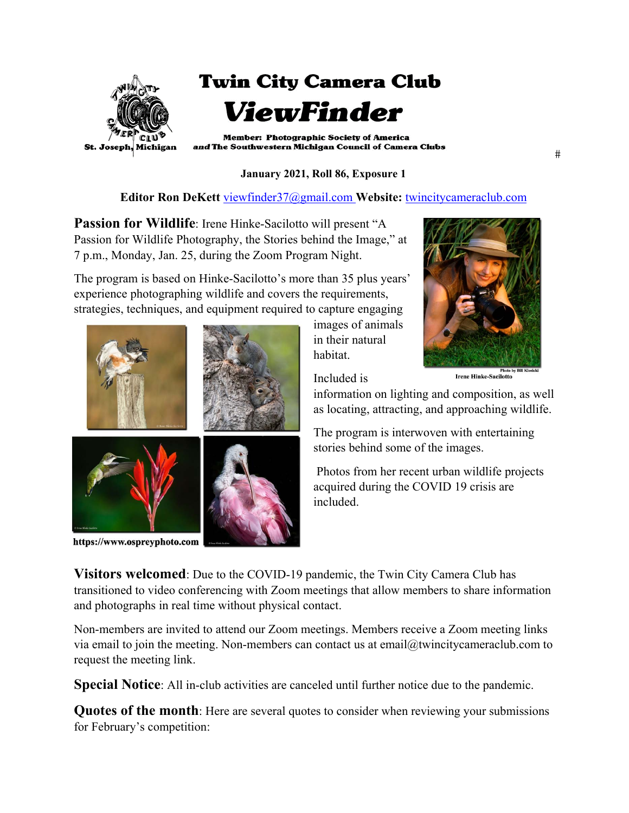

**January 2021, Roll 86, Exposure 1** 

**Editor Ron DeKett** viewfinder37@gmail.com **Website:** twincitycameraclub.com

**Passion for Wildlife:** Irene Hinke-Sacilotto will present "A Passion for Wildlife Photography, the Stories behind the Image," at 7 p.m., Monday, Jan. 25, during the Zoom Program Night.

The program is based on Hinke-Sacilotto's more than 35 plus years' experience photographing wildlife and covers the requirements, strategies, techniques, and equipment required to capture engaging



https://www.ospreyphoto.com

images of animals in their natural habitat.



Included is

information on lighting and composition, as well as locating, attracting, and approaching wildlife.

The program is interwoven with entertaining stories behind some of the images.

 Photos from her recent urban wildlife projects acquired during the COVID 19 crisis are included.

**Visitors welcomed**: Due to the COVID-19 pandemic, the Twin City Camera Club has transitioned to video conferencing with Zoom meetings that allow members to share information and photographs in real time without physical contact.

Non-members are invited to attend our Zoom meetings. Members receive a Zoom meeting links via email to join the meeting. Non-members can contact us at email@twincitycameraclub.com to request the meeting link.

**Special Notice**: All in-club activities are canceled until further notice due to the pandemic.

**Quotes of the month**: Here are several quotes to consider when reviewing your submissions for February's competition:

 $#$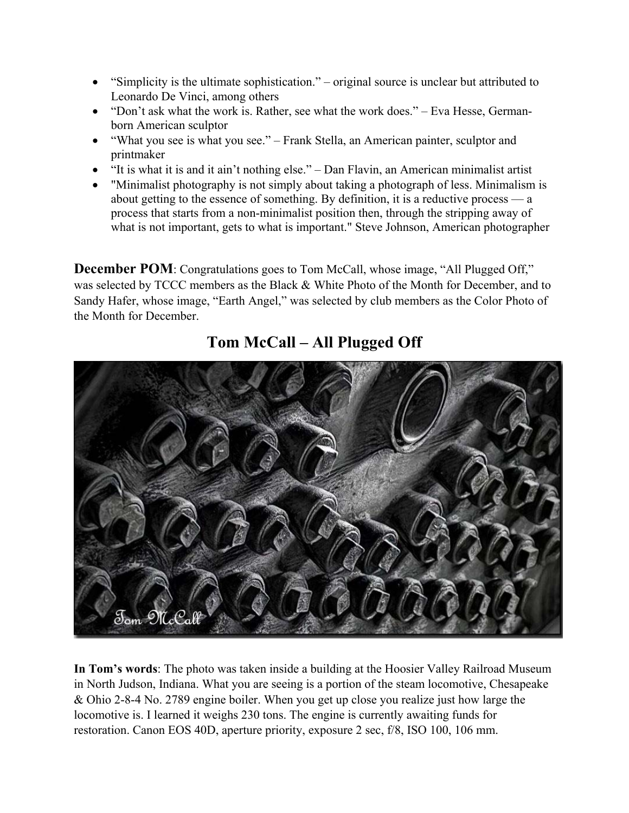- x "Simplicity is the ultimate sophistication." original source is unclear but attributed to Leonardo De Vinci, among others
- "Don't ask what the work is. Rather, see what the work does." Eva Hesse, Germanborn American sculptor
- "What you see is what you see." Frank Stella, an American painter, sculptor and printmaker
- $\bullet$  "It is what it is and it ain't nothing else." Dan Flavin, an American minimalist artist
- "Minimalist photography is not simply about taking a photograph of less. Minimalism is about getting to the essence of something. By definition, it is a reductive process — a process that starts from a non-minimalist position then, through the stripping away of what is not important, gets to what is important." Steve Johnson, American photographer

**December POM**: Congratulations goes to Tom McCall, whose image, "All Plugged Off," was selected by TCCC members as the Black & White Photo of the Month for December, and to Sandy Hafer, whose image, "Earth Angel," was selected by club members as the Color Photo of the Month for December.



## **Tom McCall – All Plugged Off**

**In Tom's words**: The photo was taken inside a building at the Hoosier Valley Railroad Museum in North Judson, Indiana. What you are seeing is a portion of the steam locomotive, Chesapeake & Ohio 2-8-4 No. 2789 engine boiler. When you get up close you realize just how large the locomotive is. I learned it weighs 230 tons. The engine is currently awaiting funds for restoration. Canon EOS 40D, aperture priority, exposure 2 sec, f/8, ISO 100, 106 mm.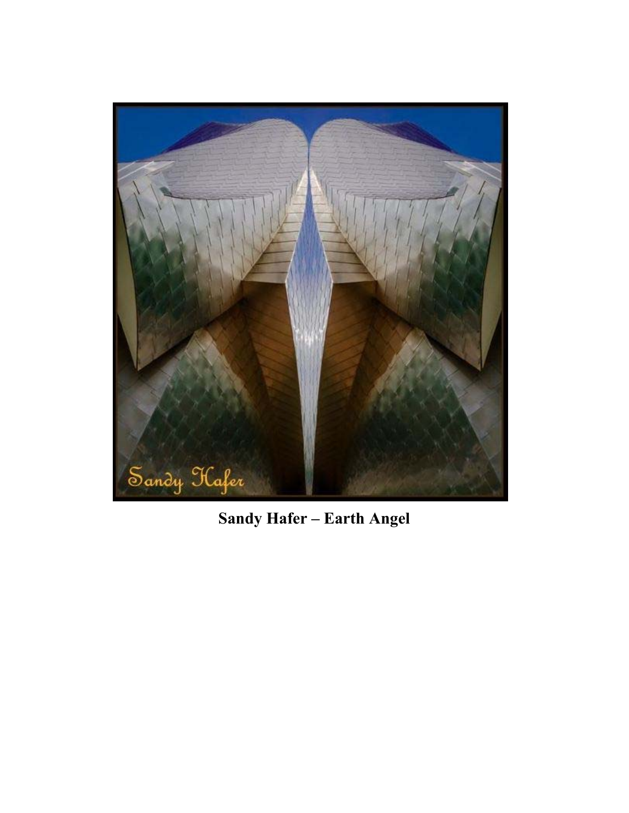

**Sandy Hafer – Earth Angel**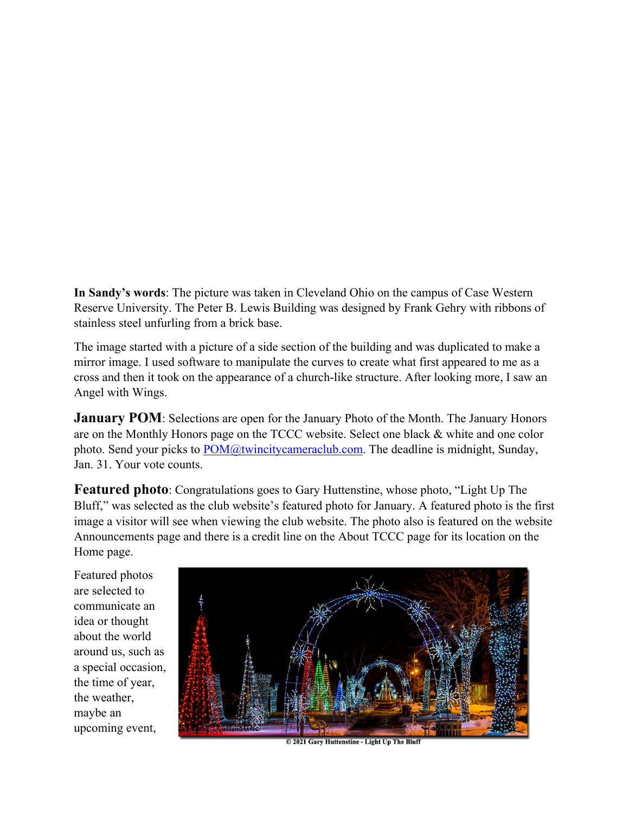**In Sandy's words**: The picture was taken in Cleveland Ohio on the campus of Case Western Reserve University. The Peter B. Lewis Building was designed by Frank Gehry with ribbons of stainless steel unfurling from a brick base.

The image started with a picture of a side section of the building and was duplicated to make a mirror image. I used software to manipulate the curves to create what first appeared to me as a cross and then it took on the appearance of a church-like structure. After looking more, I saw an Angel with Wings.

**January POM**: Selections are open for the January Photo of the Month. The January Honors are on the Monthly Honors page on the TCCC website. Select one black & white and one color photo. Send your picks to POM@twincitycameraclub.com. The deadline is midnight, Sunday, Jan. 31. Your vote counts.

**Featured photo**: Congratulations goes to Gary Huttenstine, whose photo, "Light Up The Bluff," was selected as the club website's featured photo for January. A featured photo is the first image a visitor will see when viewing the club website. The photo also is featured on the website Announcements page and there is a credit line on the About TCCC page for its location on the Home page.

Featured photos are selected to communicate an idea or thought about the world around us, such as a special occasion, the time of year, the weather, maybe an upcoming event,



© 2021 Gary Huttenstine - Light Up The Bluf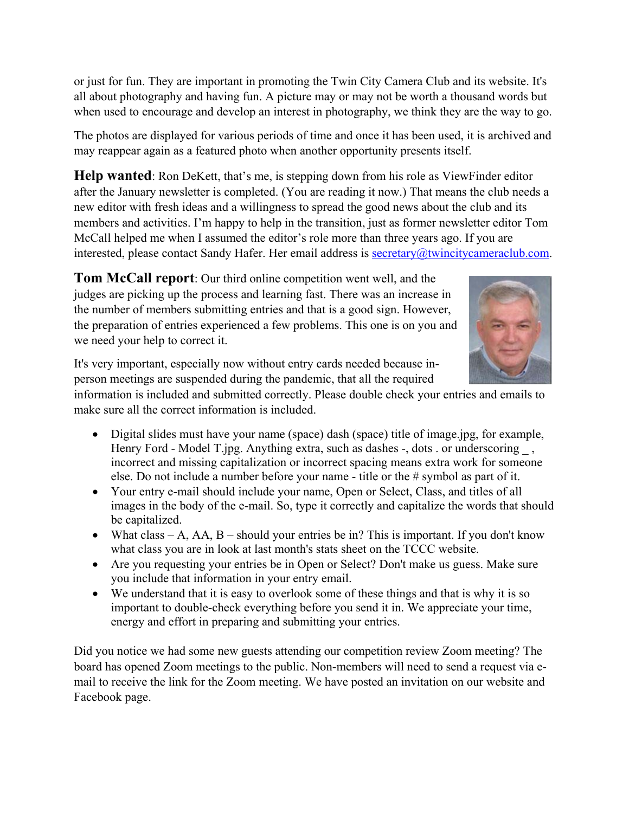or just for fun. They are important in promoting the Twin City Camera Club and its website. It's all about photography and having fun. A picture may or may not be worth a thousand words but when used to encourage and develop an interest in photography, we think they are the way to go.

The photos are displayed for various periods of time and once it has been used, it is archived and may reappear again as a featured photo when another opportunity presents itself.

**Help wanted**: Ron DeKett, that's me, is stepping down from his role as ViewFinder editor after the January newsletter is completed. (You are reading it now.) That means the club needs a new editor with fresh ideas and a willingness to spread the good news about the club and its members and activities. I'm happy to help in the transition, just as former newsletter editor Tom McCall helped me when I assumed the editor's role more than three years ago. If you are interested, please contact Sandy Hafer. Her email address is secretary@twincitycameraclub.com.

**Tom McCall report**: Our third online competition went well, and the judges are picking up the process and learning fast. There was an increase in the number of members submitting entries and that is a good sign. However, the preparation of entries experienced a few problems. This one is on you and we need your help to correct it.



It's very important, especially now without entry cards needed because inperson meetings are suspended during the pandemic, that all the required

information is included and submitted correctly. Please double check your entries and emails to make sure all the correct information is included.

- Digital slides must have your name (space) dash (space) title of image.jpg, for example, Henry Ford - Model T.jpg. Anything extra, such as dashes -, dots . or underscoring . incorrect and missing capitalization or incorrect spacing means extra work for someone else. Do not include a number before your name - title or the # symbol as part of it.
- Your entry e-mail should include your name, Open or Select, Class, and titles of all images in the body of the e-mail. So, type it correctly and capitalize the words that should be capitalized.
- What class A, AA, B should your entries be in? This is important. If you don't know what class you are in look at last month's stats sheet on the TCCC website.
- Are you requesting your entries be in Open or Select? Don't make us guess. Make sure you include that information in your entry email.
- $\bullet$  We understand that it is easy to overlook some of these things and that is why it is so important to double-check everything before you send it in. We appreciate your time, energy and effort in preparing and submitting your entries.

Did you notice we had some new guests attending our competition review Zoom meeting? The board has opened Zoom meetings to the public. Non-members will need to send a request via email to receive the link for the Zoom meeting. We have posted an invitation on our website and Facebook page.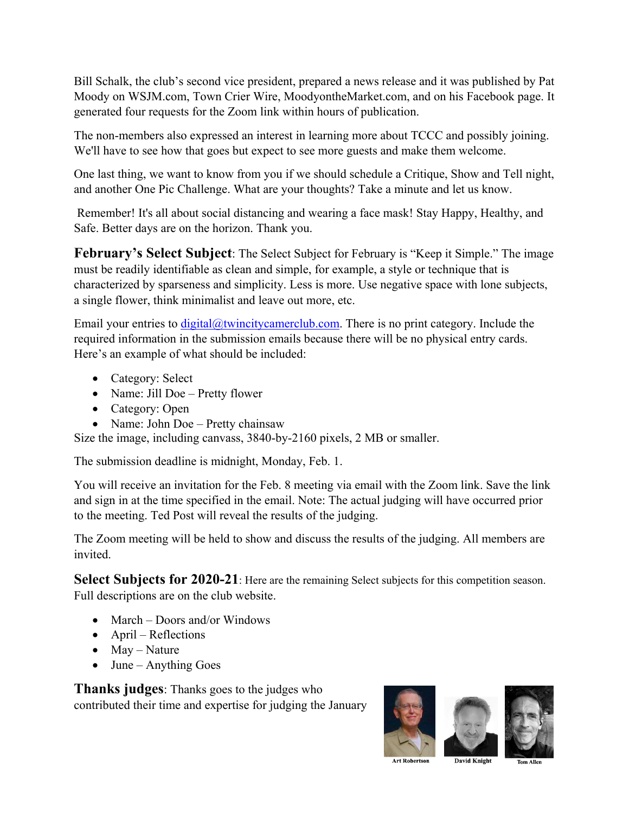Bill Schalk, the club's second vice president, prepared a news release and it was published by Pat Moody on WSJM.com, Town Crier Wire, MoodyontheMarket.com, and on his Facebook page. It generated four requests for the Zoom link within hours of publication.

The non-members also expressed an interest in learning more about TCCC and possibly joining. We'll have to see how that goes but expect to see more guests and make them welcome.

One last thing, we want to know from you if we should schedule a Critique, Show and Tell night, and another One Pic Challenge. What are your thoughts? Take a minute and let us know.

 Remember! It's all about social distancing and wearing a face mask! Stay Happy, Healthy, and Safe. Better days are on the horizon. Thank you.

**February's Select Subject**: The Select Subject for February is "Keep it Simple." The image must be readily identifiable as clean and simple, for example, a style or technique that is characterized by sparseness and simplicity. Less is more. Use negative space with lone subjects, a single flower, think minimalist and leave out more, etc.

Email your entries to  $\text{digital}(\hat{a})$ twincitycamerclub.com. There is no print category. Include the required information in the submission emails because there will be no physical entry cards. Here's an example of what should be included:

- Category: Select
- Name: Jill Doe Pretty flower
- $\bullet$  Category: Open
- Name: John Doe Pretty chainsaw

Size the image, including canvass, 3840-by-2160 pixels, 2 MB or smaller.

The submission deadline is midnight, Monday, Feb. 1.

You will receive an invitation for the Feb. 8 meeting via email with the Zoom link. Save the link and sign in at the time specified in the email. Note: The actual judging will have occurred prior to the meeting. Ted Post will reveal the results of the judging.

The Zoom meeting will be held to show and discuss the results of the judging. All members are invited.

**Select Subjects for 2020-21**: Here are the remaining Select subjects for this competition season. Full descriptions are on the club website.

- $\bullet$  March Doors and/or Windows
- $\bullet$  April Reflections
- $\bullet$  May Nature
- $\bullet$  June Anything Goes

**Thanks judges**: Thanks goes to the judges who contributed their time and expertise for judging the January



**Art Robertso**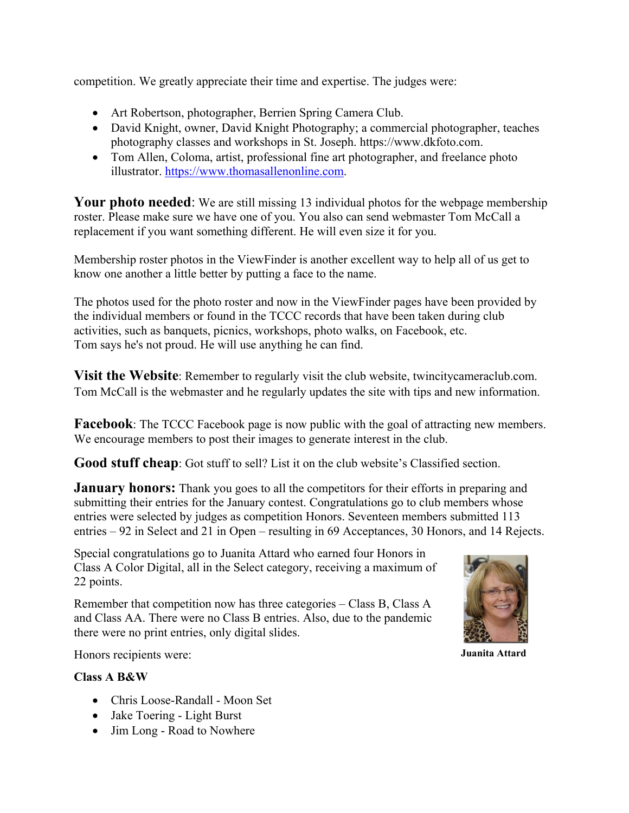competition. We greatly appreciate their time and expertise. The judges were:

- Art Robertson, photographer, Berrien Spring Camera Club.
- David Knight, owner, David Knight Photography; a commercial photographer, teaches photography classes and workshops in St. Joseph. https://www.dkfoto.com.
- Tom Allen, Coloma, artist, professional fine art photographer, and freelance photo illustrator. https://www.thomasallenonline.com.

**Your photo needed:** We are still missing 13 individual photos for the webpage membership roster. Please make sure we have one of you. You also can send webmaster Tom McCall a replacement if you want something different. He will even size it for you.

Membership roster photos in the ViewFinder is another excellent way to help all of us get to know one another a little better by putting a face to the name.

The photos used for the photo roster and now in the ViewFinder pages have been provided by the individual members or found in the TCCC records that have been taken during club activities, such as banquets, picnics, workshops, photo walks, on Facebook, etc. Tom says he's not proud. He will use anything he can find.

**Visit the Website**: Remember to regularly visit the club website, twincitycameraclub.com. Tom McCall is the webmaster and he regularly updates the site with tips and new information.

**Facebook**: The TCCC Facebook page is now public with the goal of attracting new members. We encourage members to post their images to generate interest in the club.

**Good stuff cheap**: Got stuff to sell? List it on the club website's Classified section.

**January honors:** Thank you goes to all the competitors for their efforts in preparing and submitting their entries for the January contest. Congratulations go to club members whose entries were selected by judges as competition Honors. Seventeen members submitted 113 entries – 92 in Select and 21 in Open – resulting in 69 Acceptances, 30 Honors, and 14 Rejects.

Special congratulations go to Juanita Attard who earned four Honors in Class A Color Digital, all in the Select category, receiving a maximum of 22 points.

Remember that competition now has three categories – Class B, Class A and Class AA. There were no Class B entries. Also, due to the pandemic there were no print entries, only digital slides.



**Juanita Attard**

Honors recipients were:

#### **Class A B&W**

- Chris Loose-Randall Moon Set
- Jake Toering Light Burst
- Jim Long Road to Nowhere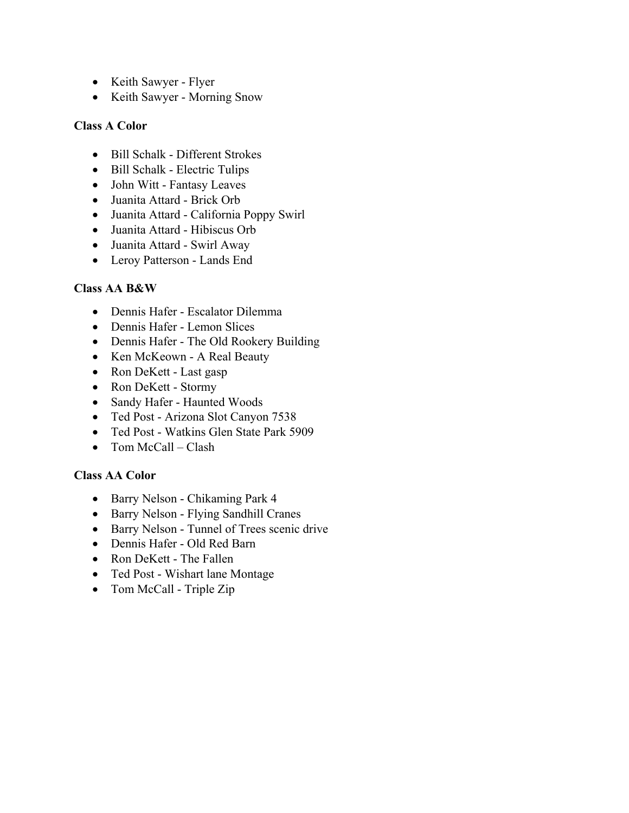- Keith Sawyer Flyer
- Keith Sawyer Morning Snow

### **Class A Color**

- $\bullet$  Bill Schalk Different Strokes
- Bill Schalk Electric Tulips
- John Witt Fantasy Leaves
- Juanita Attard Brick Orb
- Juanita Attard California Poppy Swirl
- Juanita Attard Hibiscus Orb
- Juanita Attard Swirl Away
- Leroy Patterson Lands End

#### **Class AA B&W**

- Dennis Hafer Escalator Dilemma
- Dennis Hafer Lemon Slices
- Dennis Hafer The Old Rookery Building
- Ken McKeown A Real Beauty
- Ron DeKett Last gasp
- Ron DeKett Stormy
- Sandy Hafer Haunted Woods
- Ted Post Arizona Slot Canyon 7538
- Ted Post Watkins Glen State Park 5909
- $\bullet$  Tom McCall Clash

#### **Class AA Color**

- Barry Nelson Chikaming Park 4
- Barry Nelson Flying Sandhill Cranes
- Barry Nelson Tunnel of Trees scenic drive
- Dennis Hafer Old Red Barn
- Ron DeKett The Fallen
- Ted Post Wishart lane Montage
- $\bullet$  Tom McCall Triple Zip